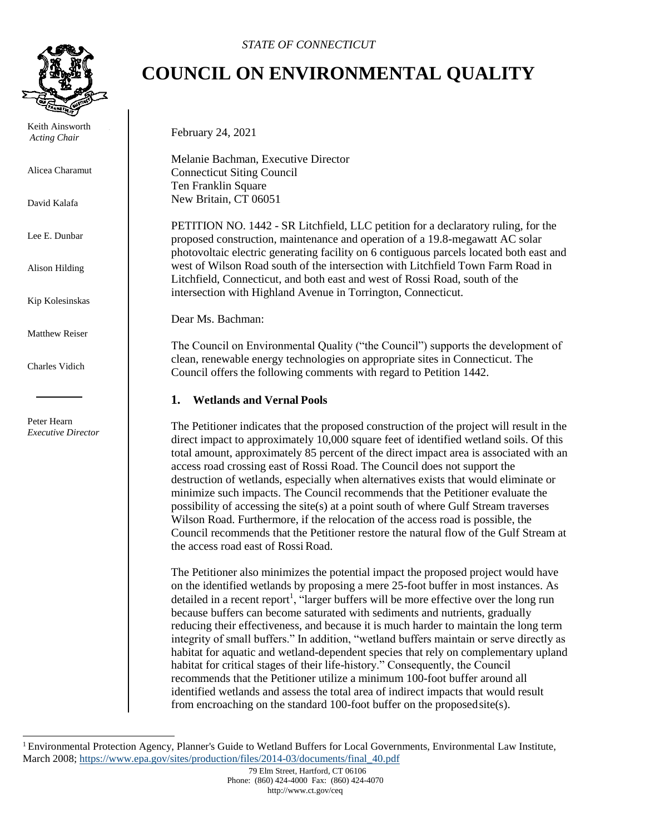

Keith Ainsworth *Acting Chair* 

Alicea Charamut

David Kalafa

Lee E. Dunbar

Alison Hilding

Kip Kolesinskas

Matthew Reiser

Charles Vidich

Peter Hearn *Executive Director*

# **COUNCIL ON ENVIRONMENTAL QUALITY**

February 24, 2021

Melanie Bachman, Executive Director Connecticut Siting Council Ten Franklin Square New Britain, CT 06051

PETITION NO. 1442 - SR Litchfield, LLC petition for a declaratory ruling, for the proposed construction, maintenance and operation of a 19.8-megawatt AC solar photovoltaic electric generating facility on 6 contiguous parcels located both east and west of Wilson Road south of the intersection with Litchfield Town Farm Road in Litchfield, Connecticut, and both east and west of Rossi Road, south of the intersection with Highland Avenue in Torrington, Connecticut.

Dear Ms. Bachman:

The Council on Environmental Quality ("the Council") supports the development of clean, renewable energy technologies on appropriate sites in Connecticut. The Council offers the following comments with regard to Petition 1442.

### **1. Wetlands and Vernal Pools**

The Petitioner indicates that the proposed construction of the project will result in the direct impact to approximately 10,000 square feet of identified wetland soils. Of this total amount, approximately 85 percent of the direct impact area is associated with an access road crossing east of Rossi Road. The Council does not support the destruction of wetlands, especially when alternatives exists that would eliminate or minimize such impacts. The Council recommends that the Petitioner evaluate the possibility of accessing the site(s) at a point south of where Gulf Stream traverses Wilson Road. Furthermore, if the relocation of the access road is possible, the Council recommends that the Petitioner restore the natural flow of the Gulf Stream at the access road east of Rossi Road.

The Petitioner also minimizes the potential impact the proposed project would have on the identified wetlands by proposing a mere 25-foot buffer in most instances. As detailed in a recent report<sup>1</sup>[,](#page-0-0) "larger buffers will be more effective over the long run because buffers can become saturated with sediments and nutrients, gradually reducing their effectiveness, and because it is much harder to maintain the long term integrity of small buffers." In addition, "wetland buffers maintain or serve directly as habitat for aquatic and wetland-dependent species that rely on complementary upland habitat for critical stages of their life-history." Consequently, the Council recommends that the Petitioner utilize a minimum 100-foot buffer around all identified wetlands and assess the total area of indirect impacts that would result from encroaching on the standard 100-foot buffer on the proposedsite(s).

<span id="page-0-0"></span><sup>&</sup>lt;sup>1</sup> Environmental Protection Agency, Planner's Guide to Wetland Buffers for Local Governments, Environmental Law Institute, March 2008[; https://www.epa.gov/sites/production/files/2014-03/documents/final\\_40.pdf](https://www.epa.gov/sites/production/files/2014-03/documents/final_40.pdf)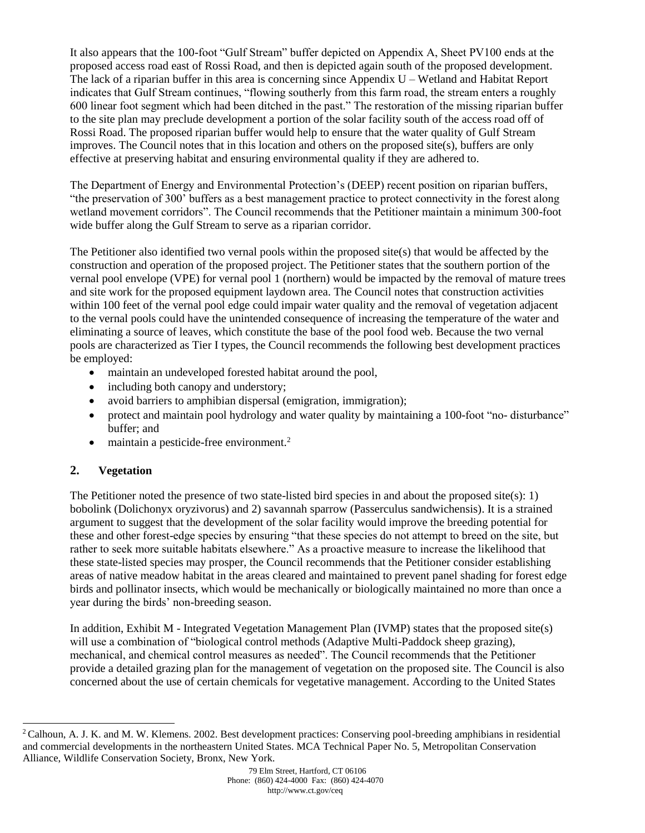It also appears that the 100-foot "Gulf Stream" buffer depicted on Appendix A, Sheet PV100 ends at the proposed access road east of Rossi Road, and then is depicted again south of the proposed development. The lack of a riparian buffer in this area is concerning since Appendix U – Wetland and Habitat Report indicates that Gulf Stream continues, "flowing southerly from this farm road, the stream enters a roughly 600 linear foot segment which had been ditched in the past." The restoration of the missing riparian buffer to the site plan may preclude development a portion of the solar facility south of the access road off of Rossi Road. The proposed riparian buffer would help to ensure that the water quality of Gulf Stream improves. The Council notes that in this location and others on the proposed site(s), buffers are only effective at preserving habitat and ensuring environmental quality if they are adhered to.

The Department of Energy and Environmental Protection's (DEEP) recent position on riparian buffers, "the preservation of 300' buffers as a best management practice to protect connectivity in the forest along wetland movement corridors". The Council recommends that the Petitioner maintain a minimum 300-foot wide buffer along the Gulf Stream to serve as a riparian corridor.

The Petitioner also identified two vernal pools within the proposed site(s) that would be affected by the construction and operation of the proposed project. The Petitioner states that the southern portion of the vernal pool envelope (VPE) for vernal pool 1 (northern) would be impacted by the removal of mature trees and site work for the proposed equipment laydown area. The Council notes that construction activities within 100 feet of the vernal pool edge could impair water quality and the removal of vegetation adjacent to the vernal pools could have the unintended consequence of increasing the temperature of the water and eliminating a source of leaves, which constitute the base of the pool food web. Because the two vernal pools are characterized as Tier I types, the Council recommends the following best development practices be employed:

- maintain an undeveloped forested habitat around the pool,
- including both canopy and understory;
- avoid barriers to amphibian dispersal (emigration, immigration);
- protect and maintain pool hydrology and water quality by maintaining a 100-foot "no- disturbance" buffer; and
- maintain a pesticide-free environment.<sup>2</sup>

# **2. Vegetation**

The Petitioner noted the presence of two state-listed bird species in and about the proposed site(s): 1) bobolink (Dolichonyx oryzivorus) and 2) savannah sparrow (Passerculus sandwichensis). It is a strained argument to suggest that the development of the solar facility would improve the breeding potential for these and other forest-edge species by ensuring "that these species do not attempt to breed on the site, but rather to seek more suitable habitats elsewhere." As a proactive measure to increase the likelihood that these state-listed species may prosper, the Council recommends that the Petitioner consider establishing areas of native meadow habitat in the areas cleared and maintained to prevent panel shading for forest edge birds and pollinator insects, which would be mechanically or biologically maintained no more than once a year during the birds' non-breeding season.

In addition, Exhibit M - Integrated Vegetation Management Plan (IVMP) states that the proposed site(s) will use a combination of "biological control methods (Adaptive Multi-Paddock sheep grazing), mechanical, and chemical control measures as needed". The Council recommends that the Petitioner provide a detailed grazing plan for the management of vegetation on the proposed site. The Council is also concerned about the use of certain chemicals for vegetative management. According to the United States

<sup>&</sup>lt;sup>2</sup> Calhoun, A. J. K. and M. W. Klemens. 2002. Best development practices: Conserving pool-breeding amphibians in residential and commercial developments in the northeastern United States. MCA Technical Paper No. 5, Metropolitan Conservation Alliance, Wildlife Conservation Society, Bronx, New York.